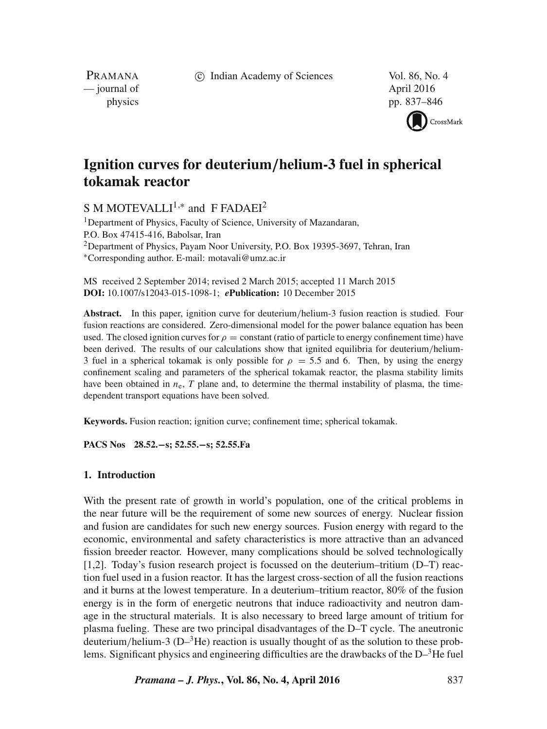c Indian Academy of Sciences Vol. 86, No. 4

PRAMANA — journal of April 2016

physics pp. 837–846



# **Ignition curves for deuterium***/***helium-3 fuel in spherical tokamak reactor**

S M MOTEVALLI<sup>1,\*</sup> and F FADAEI<sup>2</sup>

<sup>1</sup>Department of Physics, Faculty of Science, University of Mazandaran, P.O. Box 47415-416, Babolsar, Iran <sup>2</sup>Department of Physics, Payam Noor University, P.O. Box 19395-3697, Tehran, Iran ∗Corresponding author. E-mail: motavali@umz.ac.ir

MS received 2 September 2014; revised 2 March 2015; accepted 11 March 2015 **DOI:** 10.1007/s12043-015-1098-1; *e***Publication:** 10 December 2015

**Abstract.** In this paper, ignition curve for deuterium/helium-3 fusion reaction is studied. Four fusion reactions are considered. Zero-dimensional model for the power balance equation has been used. The closed ignition curves for  $\rho =$  constant (ratio of particle to energy confinement time) have been derived. The results of our calculations show that ignited equilibria for deuterium/helium-3 fuel in a spherical tokamak is only possible for  $\rho = 5.5$  and 6. Then, by using the energy confinement scaling and parameters of the spherical tokamak reactor, the plasma stability limits have been obtained in  $n_e$ ,  $T$  plane and, to determine the thermal instability of plasma, the timedependent transport equations have been solved.

**Keywords.** Fusion reaction; ignition curve; confinement time; spherical tokamak.

**PACS Nos 28.52.−s; 52.55.−s; 52.55.Fa**

## **1. Introduction**

With the present rate of growth in world's population, one of the critical problems in the near future will be the requirement of some new sources of energy. Nuclear fission and fusion are candidates for such new energy sources. Fusion energy with regard to the economic, environmental and safety characteristics is more attractive than an advanced fission breeder reactor. However, many complications should be solved technologically [1,2]. Today's fusion research project is focussed on the deuterium–tritium (D–T) reaction fuel used in a fusion reactor. It has the largest cross-section of all the fusion reactions and it burns at the lowest temperature. In a deuterium–tritium reactor, 80% of the fusion energy is in the form of energetic neutrons that induce radioactivity and neutron damage in the structural materials. It is also necessary to breed large amount of tritium for plasma fueling. These are two principal disadvantages of the D–T cycle. The aneutronic deuterium/helium-3 ( $D^{-3}$ He) reaction is usually thought of as the solution to these problems. Significant physics and engineering difficulties are the drawbacks of the  $D^{-3}$ He fuel

*Pramana – J. Phys.***, Vol. 86, No. 4, April 2016** 837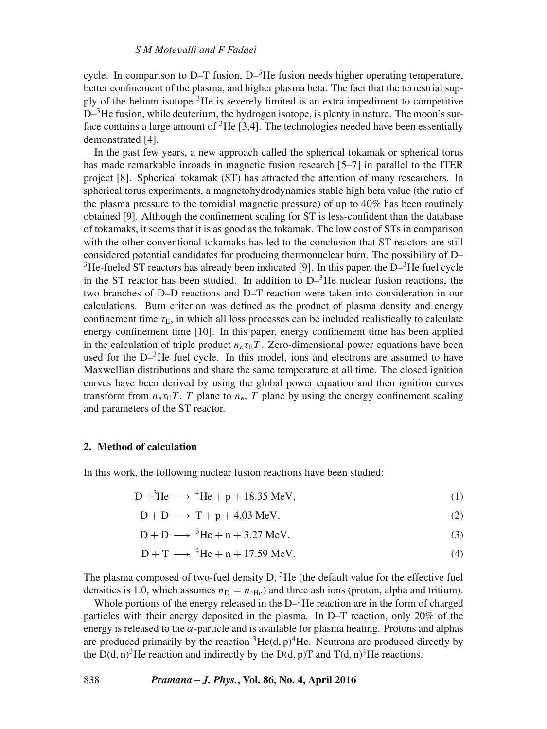cycle. In comparison to  $D-T$  fusion,  $D^{-3}$ He fusion needs higher operating temperature, better confinement of the plasma, and higher plasma beta. The fact that the terrestrial supply of the helium isotope  ${}^{3}$ He is severely limited is an extra impediment to competitive  $D^{-3}$ He fusion, while deuterium, the hydrogen isotope, is plenty in nature. The moon's surface contains a large amount of  ${}^{3}$ He [3,4]. The technologies needed have been essentially demonstrated [4].

In the past few years, a new approach called the spherical tokamak or spherical torus has made remarkable inroads in magnetic fusion research [5–7] in parallel to the ITER project [8]. Spherical tokamak (ST) has attracted the attention of many researchers. In spherical torus experiments, a magnetohydrodynamics stable high beta value (the ratio of the plasma pressure to the toroidial magnetic pressure) of up to 40% has been routinely obtained [9]. Although the confinement scaling for ST is less-confident than the database of tokamaks, it seems that it is as good as the tokamak. The low cost of STs in comparison with the other conventional tokamaks has led to the conclusion that ST reactors are still considered potential candidates for producing thermonuclear burn. The possibility of D– <sup>3</sup>He-fueled ST reactors has already been indicated [9]. In this paper, the  $D^{-3}$ He fuel cycle in the ST reactor has been studied. In addition to  $D^{-3}$ He nuclear fusion reactions, the two branches of D–D reactions and D–T reaction were taken into consideration in our calculations. Burn criterion was defined as the product of plasma density and energy confinement time  $\tau_E$ , in which all loss processes can be included realistically to calculate energy confinement time [10]. In this paper, energy confinement time has been applied in the calculation of triple product  $n_e \tau_E T$ . Zero-dimensional power equations have been used for the  $D^{-3}$ He fuel cycle. In this model, ions and electrons are assumed to have Maxwellian distributions and share the same temperature at all time. The closed ignition curves have been derived by using the global power equation and then ignition curves transform from  $n_e \tau_E T$ , T plane to  $n_e$ , T plane by using the energy confinement scaling and parameters of the ST reactor.

## **2. Method of calculation**

In this work, the following nuclear fusion reactions have been studied:

$$
D+{}^{3}\text{He} \longrightarrow {}^{4}\text{He} + p + 18.35 \text{ MeV},\tag{1}
$$

$$
D + D \longrightarrow T + p + 4.03 \text{ MeV}, \tag{2}
$$

$$
D + D \longrightarrow {}^{3}He + n + 3.27 \text{ MeV}, \tag{3}
$$

$$
D + T \longrightarrow {}^{4}\text{He} + n + 17.59 \text{ MeV}.
$$
 (4)

The plasma composed of two-fuel density  $D$ ,  ${}^{3}$ He (the default value for the effective fuel densities is 1.0, which assumes  $n_D = n_{^3He}$ ) and three ash ions (proton, alpha and tritium).

Whole portions of the energy released in the  $D^{-3}$ He reaction are in the form of charged particles with their energy deposited in the plasma. In D–T reaction, only 20% of the energy is released to the  $\alpha$ -particle and is available for plasma heating. Protons and alphas are produced primarily by the reaction  ${}^{3}$ He(d, p)<sup>4</sup>He. Neutrons are produced directly by the D(d, n)<sup>3</sup>He reaction and indirectly by the D(d, p)T and T(d, n)<sup>4</sup>He reactions.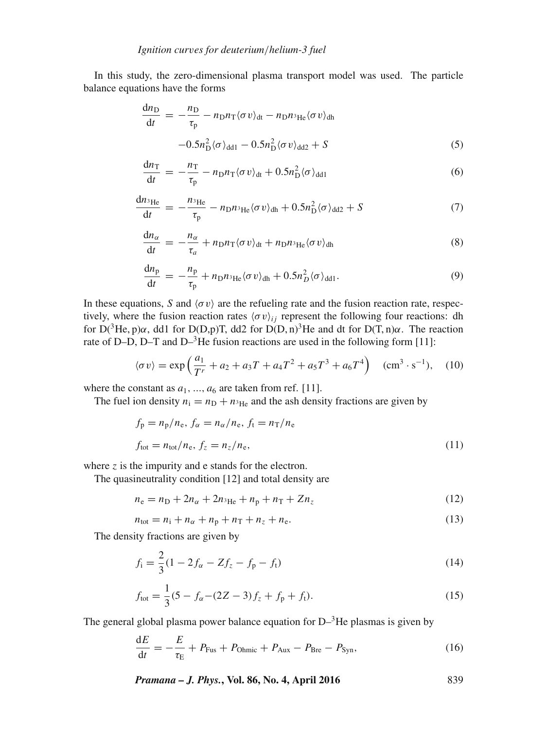In this study, the zero-dimensional plasma transport model was used. The particle balance equations have the forms

$$
\frac{dn_{\rm D}}{dt} = -\frac{n_{\rm D}}{\tau_{\rm p}} - n_{\rm D}n_{\rm T}\langle\sigma v\rangle_{\rm dt} - n_{\rm D}n_{\rm ^3He}\langle\sigma v\rangle_{\rm dh} \n-0.5n_{\rm D}^2\langle\sigma\rangle_{\rm dd1} - 0.5n_{\rm D}^2\langle\sigma v\rangle_{\rm dd2} + S
$$
\n(5)

$$
\frac{dn_{\rm T}}{dt} = -\frac{n_{\rm T}}{\tau_{\rm p}} - n_{\rm D}n_{\rm T}\langle\sigma v\rangle_{\rm dt} + 0.5n_{\rm D}^2\langle\sigma\rangle_{\rm dd1}
$$
\n(6)

$$
\frac{dn_{^3He}}{dt} = -\frac{n_{^3He}}{\tau_p} - n_D n_{^3He} \langle \sigma v \rangle_{dh} + 0.5 n_D^2 \langle \sigma \rangle_{dd2} + S \tag{7}
$$

$$
\frac{dn_{\alpha}}{dt} = -\frac{n_{\alpha}}{\tau_{a}} + n_{D}n_{T}\langle\sigma v\rangle_{dt} + n_{D}n_{^3\text{He}}\langle\sigma v\rangle_{dh}
$$
\n(8)

$$
\frac{dn_{\rm p}}{dt} = -\frac{n_{\rm p}}{\tau_{\rm p}} + n_{\rm D}n_{\rm 3He} \langle \sigma v \rangle_{\rm dh} + 0.5n_D^2 \langle \sigma \rangle_{\rm dd1}.\tag{9}
$$

In these equations, S and  $\langle \sigma v \rangle$  are the refueling rate and the fusion reaction rate, respectively, where the fusion reaction rates  $\langle \sigma v \rangle_{ij}$  represent the following four reactions: dh for  $D(^{3}He, p)\alpha$ , dd1 for  $D(D, p)T$ , dd2 for  $D(D, n)^{3}He$  and dt for  $D(T, n)\alpha$ . The reaction rate of D–D, D–T and D– ${}^{3}$ He fusion reactions are used in the following form [11]:

$$
\langle \sigma v \rangle = \exp\left(\frac{a_1}{T^r} + a_2 + a_3 T + a_4 T^2 + a_5 T^3 + a_6 T^4\right) \quad (\text{cm}^3 \cdot \text{s}^{-1}), \quad (10)
$$

where the constant as  $a_1, ..., a_6$  are taken from ref. [11].<br>The fuel ion density  $n_1 - n_2 + n_3$  and the ash dens

The fuel ion density  $n_i = n_D + n_{3\text{He}}$  and the ash density fractions are given by

$$
f_{\rm p} = n_{\rm p}/n_{\rm e}, f_{\alpha} = n_{\alpha}/n_{\rm e}, f_{\rm t} = n_{\rm T}/n_{\rm e}
$$
  

$$
f_{\rm tot} = n_{\rm tot}/n_{\rm e}, f_{z} = n_{z}/n_{\rm e},
$$
 (11)

where  $z$  is the impurity and e stands for the electron.

The quasineutrality condition [12] and total density are

$$
n_e = n_D + 2n_{\alpha} + 2n_{^3\text{He}} + n_p + n_{\text{T}} + Zn_z \tag{12}
$$

$$
n_{\text{tot}} = n_1 + n_\alpha + n_\text{p} + n_\text{T} + n_z + n_\text{e}.\tag{13}
$$

The density fractions are given by

$$
f_i = \frac{2}{3}(1 - 2f_\alpha - Zf_z - f_p - f_t)
$$
\n(14)

$$
f_{\text{tot}} = \frac{1}{3}(5 - f_{\alpha} - (2Z - 3)f_z + f_p + f_t). \tag{15}
$$

The general global plasma power balance equation for  $D^{-3}$ He plasmas is given by

$$
\frac{\mathrm{d}E}{\mathrm{d}t} = -\frac{E}{\tau_{\mathrm{E}}} + P_{\mathrm{Fus}} + P_{\mathrm{Ohmic}} + P_{\mathrm{Aux}} - P_{\mathrm{Bre}} - P_{\mathrm{Syn}},\tag{16}
$$

*Pramana – J. Phys.***, Vol. 86, No. 4, April 2016** 839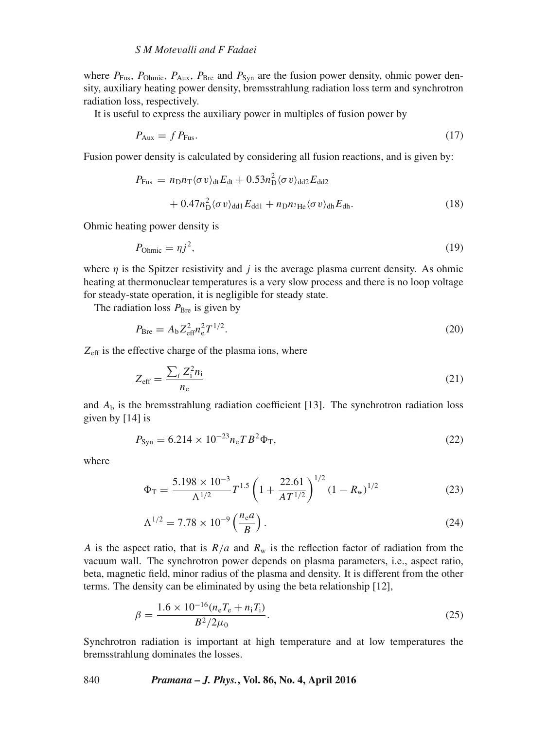where  $P_{\text{Fus}}$ ,  $P_{\text{Ohmic}}$ ,  $P_{\text{Aux}}$ ,  $P_{\text{Bre}}$  and  $P_{\text{Svn}}$  are the fusion power density, ohmic power density, auxiliary heating power density, bremsstrahlung radiation loss term and synchrotron radiation loss, respectively.

It is useful to express the auxiliary power in multiples of fusion power by

$$
P_{\text{Aux}} = f P_{\text{Fus}}.\tag{17}
$$

Fusion power density is calculated by considering all fusion reactions, and is given by:

$$
P_{\text{Fus}} = n_{\text{D}} n_{\text{T}} \langle \sigma v \rangle_{\text{dt}} E_{\text{dt}} + 0.53 n_{\text{D}}^2 \langle \sigma v \rangle_{\text{dd}2} E_{\text{dd}2} + 0.47 n_{\text{D}}^2 \langle \sigma v \rangle_{\text{dd}1} E_{\text{dd}1} + n_{\text{D}} n_{\text{H}e} \langle \sigma v \rangle_{\text{dh}} E_{\text{dh}}.
$$
\n(18)

Ohmic heating power density is

$$
P_{\text{Ohmic}} = \eta j^2,\tag{19}
$$

where  $\eta$  is the Spitzer resistivity and j is the average plasma current density. As ohmic heating at thermonuclear temperatures is a very slow process and there is no loop voltage for steady-state operation, it is negligible for steady state.

The radiation loss  $P_{\text{Bre}}$  is given by

$$
P_{\rm Bre} = A_{\rm b} Z_{\rm eff}^2 n_{\rm e}^2 T^{1/2}.
$$
\n(20)

 $Z_{\text{eff}}$  is the effective charge of the plasma ions, where

$$
Z_{\rm eff} = \frac{\sum_{i} Z_{i}^{2} n_{i}}{n_{\rm e}} \tag{21}
$$

and  $A<sub>b</sub>$  is the bremsstrahlung radiation coefficient [13]. The synchrotron radiation loss given by [14] is

$$
P_{\rm Syn} = 6.214 \times 10^{-23} n_{\rm e} T B^2 \Phi_{\rm T},\tag{22}
$$

where

$$
\Phi_{\rm T} = \frac{5.198 \times 10^{-3}}{\Lambda^{1/2}} T^{1.5} \left( 1 + \frac{22.61}{AT^{1/2}} \right)^{1/2} (1 - R_{\rm w})^{1/2}
$$
(23)

$$
\Lambda^{1/2} = 7.78 \times 10^{-9} \left( \frac{n_{\rm e} a}{B} \right). \tag{24}
$$

A is the aspect ratio, that is  $R/a$  and  $R_w$  is the reflection factor of radiation from the vacuum wall. The synchrotron power depends on plasma parameters i.e., aspect ratio vacuum wall. The synchrotron power depends on plasma parameters, i.e., aspect ratio, beta, magnetic field, minor radius of the plasma and density. It is different from the other terms. The density can be eliminated by using the beta relationship [12],

$$
\beta = \frac{1.6 \times 10^{-16} (n_{\rm e} T_{\rm e} + n_{\rm i} T_{\rm i})}{B^2 / 2\mu_0}.
$$
\n(25)

Synchrotron radiation is important at high temperature and at low temperatures the bremsstrahlung dominates the losses.

#### 840 *Pramana – J. Phys.***, Vol. 86, No. 4, April 2016**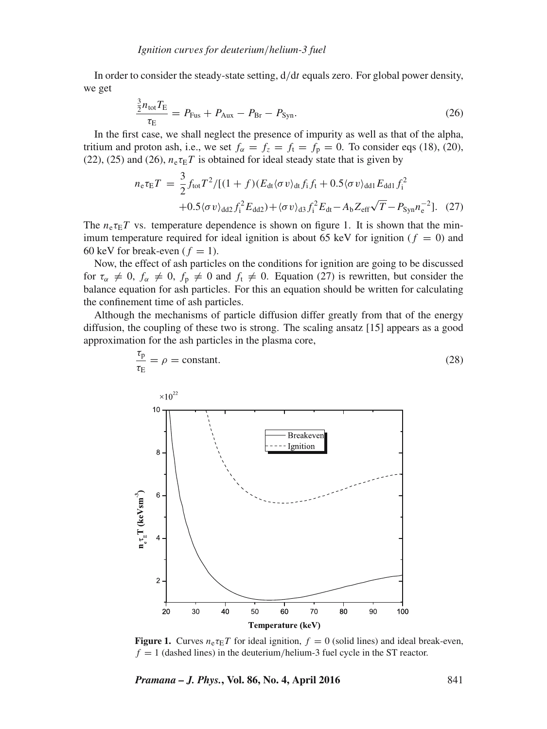In order to consider the steady-state setting,  $d/dt$  equals zero. For global power density, we get

$$
\frac{\frac{3}{2}n_{\text{tot}}T_{\text{E}}}{\tau_{\text{E}}} = P_{\text{Fus}} + P_{\text{Aux}} - P_{\text{Br}} - P_{\text{Syn}}.\tag{26}
$$

In the first case, we shall neglect the presence of impurity as well as that of the alpha, tritium and proton ash, i.e., we set  $f_\alpha = f_z = f_t = f_p = 0$ . To consider eqs (18), (20), (22), (25) and (26),  $n_e \tau_E T$  is obtained for ideal steady state that is given by

$$
n_{e}\tau_{E}T = \frac{3}{2}f_{\text{tot}}T^{2}/[(1+f)(E_{\text{dt}}\langle\sigma v\rangle_{\text{dt}}f_{\text{i}}f_{\text{t}} + 0.5\langle\sigma v\rangle_{\text{dd1}}E_{\text{dd1}}f_{\text{i}}^{2} + 0.5\langle\sigma v\rangle_{\text{dd2}}f_{\text{i}}^{2}E_{\text{dd2}}) + \langle\sigma v\rangle_{\text{d3}}f_{\text{i}}^{2}E_{\text{dt}} - A_{\text{b}}Z_{\text{eff}}\sqrt{T} - P_{\text{Syn}}n_{e}^{-2}].
$$
 (27)

The  $n_e \tau_E T$  vs. temperature dependence is shown on figure 1. It is shown that the minimum temperature required for ideal ignition is about 65 keV for ignition ( $f = 0$ ) and 60 keV for break-even ( $f = 1$ ).

Now, the effect of ash particles on the conditions for ignition are going to be discussed for  $\tau_{\alpha} \neq 0$ ,  $f_{\alpha} \neq 0$ ,  $f_{p} \neq 0$  and  $f_{t} \neq 0$ . Equation (27) is rewritten, but consider the balance equation for ash particles. For this an equation should be written for calculating the confinement time of ash particles.

Although the mechanisms of particle diffusion differ greatly from that of the energy diffusion, the coupling of these two is strong. The scaling ansatz [15] appears as a good approximation for the ash particles in the plasma core,

 $\frac{\tau_{\rm p}}{2}$ 



**Figure 1.** Curves  $n_e \tau_E T$  for ideal ignition,  $f = 0$  (solid lines) and ideal break-even,  $f = 1$  (dashed lines) in the deuterium/helium-3 fuel cycle in the ST reactor.

*Pramana – J. Phys.***, Vol. 86, No. 4, April 2016** 841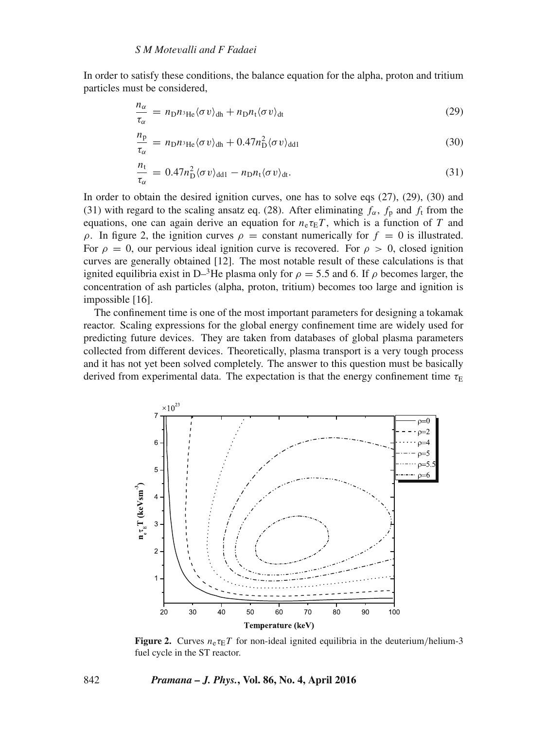In order to satisfy these conditions, the balance equation for the alpha, proton and tritium particles must be considered,

$$
\frac{n_{\alpha}}{\tau_{\alpha}} = n_{\text{D}} n_{\text{3He}} \langle \sigma v \rangle_{\text{dh}} + n_{\text{D}} n_{\text{t}} \langle \sigma v \rangle_{\text{dt}}
$$
\n(29)

$$
\frac{n_{\rm p}}{\tau_{\alpha}} = n_{\rm D} n_{\rm ^3He} \langle \sigma v \rangle_{\rm dh} + 0.47 n_{\rm D}^2 \langle \sigma v \rangle_{\rm dd1}
$$
\n(30)

$$
\frac{n_{t}}{\tau_{\alpha}} = 0.47 n_{\text{D}}^{2} \langle \sigma v \rangle_{\text{dd1}} - n_{\text{D}} n_{t} \langle \sigma v \rangle_{\text{dt}}.
$$
\n(31)

In order to obtain the desired ignition curves, one has to solve eqs (27), (29), (30) and (31) with regard to the scaling ansatz eq. (28). After eliminating  $f_{\alpha}$ ,  $f_{\beta}$  and  $f_{\beta}$  from the equations, one can again derive an equation for  $n_e \tau_E T$ , which is a function of T and ρ. In figure 2, the ignition curves  $ρ = constant$  numerically for  $f = 0$  is illustrated. For  $\rho = 0$ , our pervious ideal ignition curve is recovered. For  $\rho > 0$ , closed ignition curves are generally obtained [12]. The most notable result of these calculations is that ignited equilibria exist in D–<sup>3</sup>He plasma only for  $\rho = 5.5$  and 6. If  $\rho$  becomes larger, the concentration of ash particles (alpha, proton, tritium) becomes too large and ignition is impossible [16].

The confinement time is one of the most important parameters for designing a tokamak reactor. Scaling expressions for the global energy confinement time are widely used for predicting future devices. They are taken from databases of global plasma parameters collected from different devices. Theoretically, plasma transport is a very tough process and it has not yet been solved completely. The answer to this question must be basically derived from experimental data. The expectation is that the energy confinement time  $\tau_F$ 



**Figure 2.** Curves  $n_e \tau_E T$  for non-ideal ignited equilibria in the deuterium/helium-3 fuel cycle in the ST reactor.

#### 842 *Pramana – J. Phys.***, Vol. 86, No. 4, April 2016**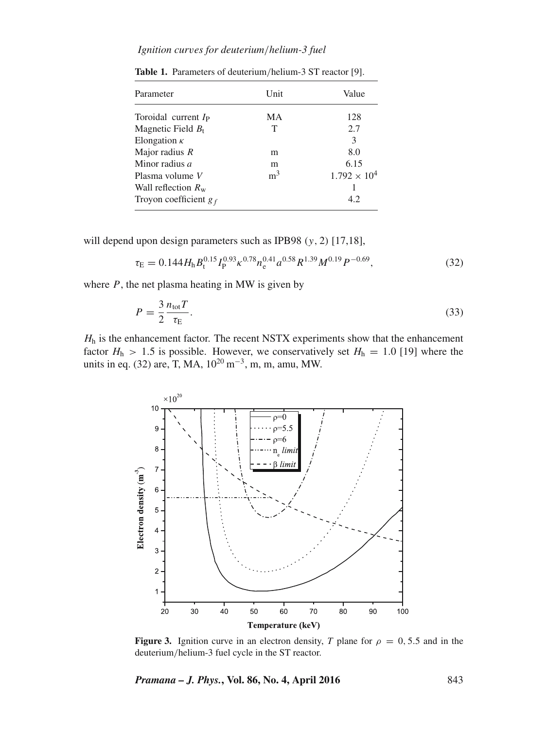# *Ignition cur*v*es for deuterium*/*helium-3 fuel*

| Parameter                   | Unit           | Value                 |
|-----------------------------|----------------|-----------------------|
| Toroidal current $I_P$      | MA             | 128                   |
| Magnetic Field $B_t$        | Т              | 2.7                   |
| Elongation $\kappa$         |                | 3                     |
| Major radius $R$            | m              | 8.0                   |
| Minor radius <i>a</i>       | m              | 6.15                  |
| Plasma volume V             | m <sup>3</sup> | $1.792 \times 10^{4}$ |
| Wall reflection $R_{\rm w}$ |                |                       |
| Troyon coefficient $g_f$    |                | 4.2                   |

**Table 1.** Parameters of deuterium/helium-3 ST reactor [9].

will depend upon design parameters such as IPB98  $(y, 2)$  [17,18],

$$
\tau_{\rm E} = 0.144 H_{\rm h} B_{\rm t}^{0.15} I_{\rm P}^{0.93} \kappa^{0.78} n_{\rm e}^{0.41} a^{0.58} R^{1.39} M^{0.19} P^{-0.69},\tag{32}
$$

where  $P$ , the net plasma heating in MW is given by

$$
P = \frac{3}{2} \frac{n_{\text{tot}} T}{\tau_{\text{E}}}.
$$
\n(33)

 $H_h$  is the enhancement factor. The recent NSTX experiments show that the enhancement factor  $H_1 > 1.5$  is possible. However, we conservatively set  $H_2 = 1.0$  [19] where the factor  $H_h > 1.5$  is possible. However, we conservatively set  $H_h = 1.0$  [19] where the units in eq. (32) are, T, MA, 10<sup>20</sup> m<sup>-3</sup>, m, m, amu, MW.



**Figure 3.** Ignition curve in an electron density, *T* plane for  $\rho = 0, 5.5$  and in the deuterium/helium-3 fuel cycle in the ST reactor.

*Pramana – J. Phys.***, Vol. 86, No. 4, April 2016** 843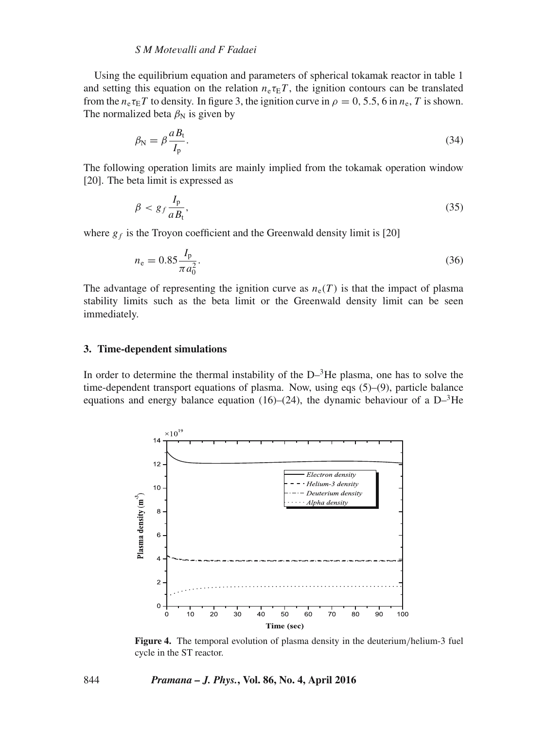# *S M Mote*v*alli and F Fadaei*

Using the equilibrium equation and parameters of spherical tokamak reactor in table 1 and setting this equation on the relation  $n_e \tau_E T$ , the ignition contours can be translated from the  $n_e \tau_E T$  to density. In figure 3, the ignition curve in  $\rho = 0, 5.5, 6$  in  $n_e, T$  is shown. The normalized beta  $\beta_N$  is given by

$$
\beta_{\rm N} = \beta \frac{a_{\rm B}}{I_{\rm p}}.\tag{34}
$$

The following operation limits are mainly implied from the tokamak operation window [20]. The beta limit is expressed as

$$
\beta < g_f \frac{I_p}{a B_t},\tag{35}
$$

where  $g_f$  is the Troyon coefficient and the Greenwald density limit is [20]

$$
n_{\rm e} = 0.85 \frac{I_{\rm p}}{\pi a_0^2}.
$$
\n(36)

The advantage of representing the ignition curve as  $n_e(T)$  is that the impact of plasma stability limits such as the beta limit or the Greenwald density limit can be seen immediately.

## **3. Time-dependent simulations**

In order to determine the thermal instability of the  $D^{-3}$ He plasma, one has to solve the time-dependent transport equations of plasma. Now, using eqs (5)–(9), particle balance equations and energy balance equation (16)–(24), the dynamic behaviour of a  $D^{-3}He$ 



**Figure 4.** The temporal evolution of plasma density in the deuterium/helium-3 fuel cycle in the ST reactor.

#### 844 *Pramana – J. Phys.***, Vol. 86, No. 4, April 2016**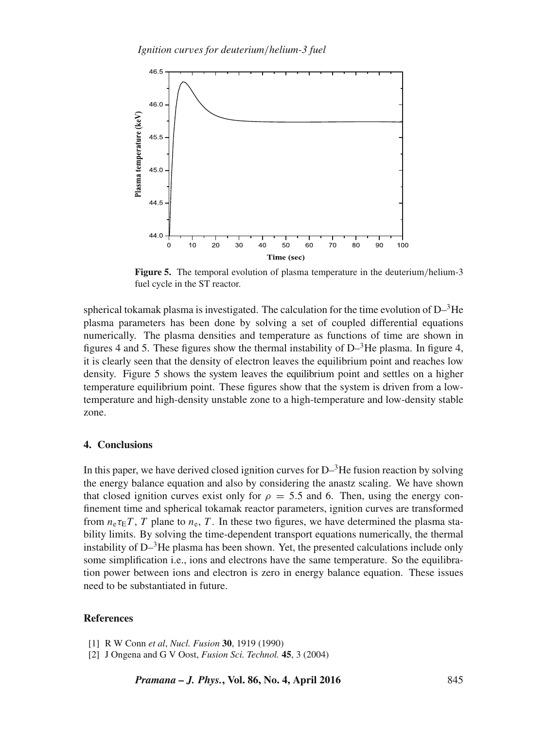

**Figure 5.** The temporal evolution of plasma temperature in the deuterium/helium-3 fuel cycle in the ST reactor.

spherical tokamak plasma is investigated. The calculation for the time evolution of  $D^{-3}He$ plasma parameters has been done by solving a set of coupled differential equations numerically. The plasma densities and temperature as functions of time are shown in figures 4 and 5. These figures show the thermal instability of  $D^{-3}$ He plasma. In figure 4, it is clearly seen that the density of electron leaves the equilibrium point and reaches low density. Figure 5 shows the system leaves the equilibrium point and settles on a higher temperature equilibrium point. These figures show that the system is driven from a lowtemperature and high-density unstable zone to a high-temperature and low-density stable zone.

## **4. Conclusions**

In this paper, we have derived closed ignition curves for  $D^{-3}$ He fusion reaction by solving the energy balance equation and also by considering the anastz scaling. We have shown that closed ignition curves exist only for  $\rho = 5.5$  and 6. Then, using the energy confinement time and spherical tokamak reactor parameters, ignition curves are transformed from  $n_e \tau_E T$ , T plane to  $n_e$ , T. In these two figures, we have determined the plasma stability limits. By solving the time-dependent transport equations numerically, the thermal instability of  $D^{-3}$ He plasma has been shown. Yet, the presented calculations include only some simplification i.e., ions and electrons have the same temperature. So the equilibration power between ions and electron is zero in energy balance equation. These issues need to be substantiated in future.

## **References**

<sup>[1]</sup> R W Conn *et al*, *Nucl. Fusion* **30**, 1919 (1990)

<sup>[2]</sup> J Ongena and G V Oost, *Fusion Sci. Technol.* **45**, 3 (2004)